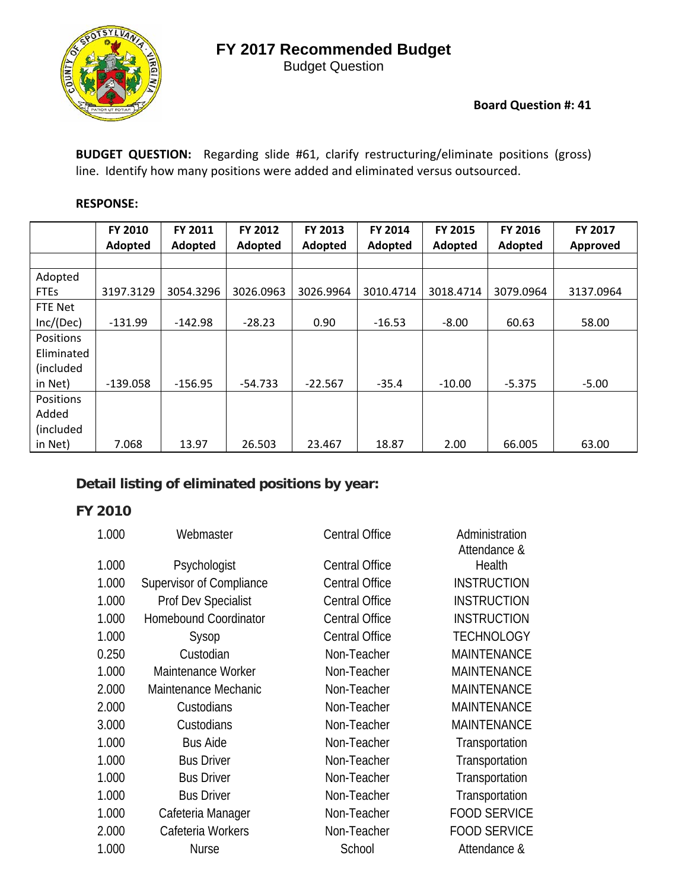

Budget Question

#### **Board Question #: 41**

**BUDGET QUESTION:**  Regarding slide #61, clarify restructuring/eliminate positions (gross) line. Identify how many positions were added and eliminated versus outsourced.

#### **RESPONSE:**

|                  | FY 2010    | FY 2011   | FY 2012   | FY 2013        | FY 2014   | <b>FY 2015</b> | FY 2016   | FY 2017   |
|------------------|------------|-----------|-----------|----------------|-----------|----------------|-----------|-----------|
|                  | Adopted    | Adopted   | Adopted   | <b>Adopted</b> | Adopted   | Adopted        | Adopted   | Approved  |
|                  |            |           |           |                |           |                |           |           |
| Adopted          |            |           |           |                |           |                |           |           |
| <b>FTEs</b>      | 3197.3129  | 3054.3296 | 3026.0963 | 3026.9964      | 3010.4714 | 3018.4714      | 3079.0964 | 3137.0964 |
| FTE Net          |            |           |           |                |           |                |           |           |
| Inc/(Dec)        | $-131.99$  | $-142.98$ | $-28.23$  | 0.90           | $-16.53$  | $-8.00$        | 60.63     | 58.00     |
| <b>Positions</b> |            |           |           |                |           |                |           |           |
| Eliminated       |            |           |           |                |           |                |           |           |
| (included        |            |           |           |                |           |                |           |           |
| in Net)          | $-139.058$ | $-156.95$ | $-54.733$ | $-22.567$      | $-35.4$   | $-10.00$       | $-5.375$  | $-5.00$   |
| Positions        |            |           |           |                |           |                |           |           |
| Added            |            |           |           |                |           |                |           |           |
| (included        |            |           |           |                |           |                |           |           |
| in Net)          | 7.068      | 13.97     | 26.503    | 23.467         | 18.87     | 2.00           | 66.005    | 63.00     |

## **Detail listing of eliminated positions by year:**

| 1.000 | Webmaster                    | <b>Central Office</b> | Administration<br>Attendance & |
|-------|------------------------------|-----------------------|--------------------------------|
| 1.000 | Psychologist                 | <b>Central Office</b> | Health                         |
| 1.000 | Supervisor of Compliance     | <b>Central Office</b> | <b>INSTRUCTION</b>             |
| 1.000 | Prof Dev Specialist          | <b>Central Office</b> | <b>INSTRUCTION</b>             |
| 1.000 | <b>Homebound Coordinator</b> | <b>Central Office</b> | <b>INSTRUCTION</b>             |
| 1.000 | Sysop                        | <b>Central Office</b> | <b>TECHNOLOGY</b>              |
| 0.250 | Custodian                    | Non-Teacher           | <b>MAINTENANCE</b>             |
| 1.000 | Maintenance Worker           | Non-Teacher           | <b>MAINTENANCE</b>             |
| 2.000 | Maintenance Mechanic         | Non-Teacher           | <b>MAINTENANCE</b>             |
| 2.000 | Custodians                   | Non-Teacher           | <b>MAINTENANCE</b>             |
| 3.000 | Custodians                   | Non-Teacher           | <b>MAINTENANCE</b>             |
| 1.000 | <b>Bus Aide</b>              | Non-Teacher           | Transportation                 |
| 1.000 | <b>Bus Driver</b>            | Non-Teacher           | Transportation                 |
| 1.000 | <b>Bus Driver</b>            | Non-Teacher           | Transportation                 |
| 1.000 | <b>Bus Driver</b>            | Non-Teacher           | Transportation                 |
| 1.000 | Cafeteria Manager            | Non-Teacher           | <b>FOOD SERVICE</b>            |
| 2.000 | Cafeteria Workers            | Non-Teacher           | <b>FOOD SERVICE</b>            |
| 1.000 | <b>Nurse</b>                 | School                | Attendance &                   |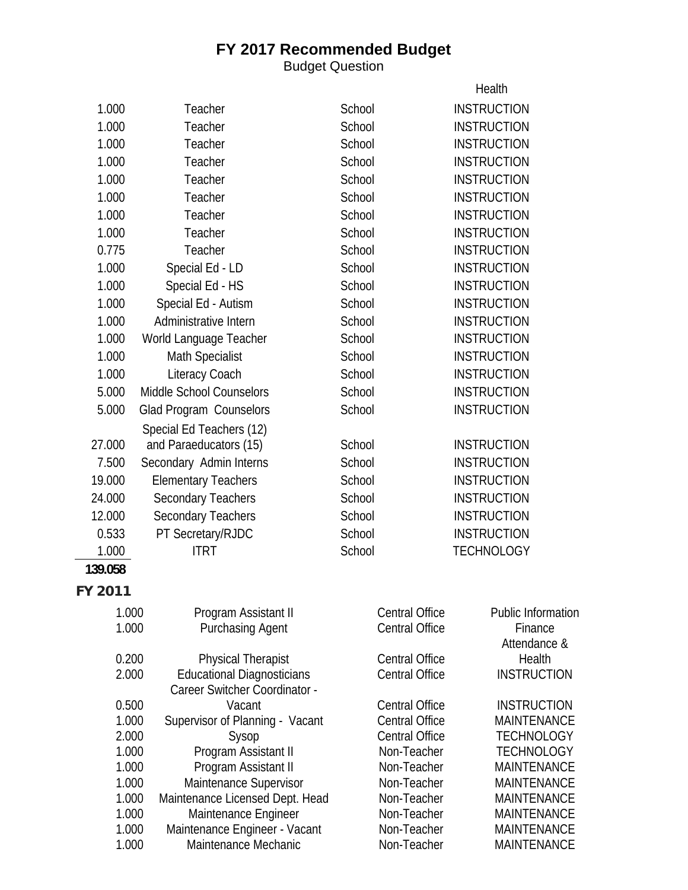Budget Question

|                |                                                |                                                | Health                                   |
|----------------|------------------------------------------------|------------------------------------------------|------------------------------------------|
| 1.000          | Teacher                                        | School                                         | <b>INSTRUCTION</b>                       |
| 1.000          | Teacher                                        | School                                         | <b>INSTRUCTION</b>                       |
| 1.000          | Teacher                                        | School                                         | <b>INSTRUCTION</b>                       |
| 1.000          | Teacher                                        | School                                         | <b>INSTRUCTION</b>                       |
| 1.000          | Teacher                                        | School                                         | <b>INSTRUCTION</b>                       |
| 1.000          | Teacher                                        | School                                         | <b>INSTRUCTION</b>                       |
| 1.000          | Teacher                                        | School                                         | <b>INSTRUCTION</b>                       |
| 1.000          | Teacher                                        | School                                         | <b>INSTRUCTION</b>                       |
| 0.775          | Teacher                                        | School                                         | <b>INSTRUCTION</b>                       |
| 1.000          | Special Ed - LD                                | School                                         | <b>INSTRUCTION</b>                       |
| 1.000          | Special Ed - HS                                | School                                         | <b>INSTRUCTION</b>                       |
| 1.000          | Special Ed - Autism                            | School                                         | <b>INSTRUCTION</b>                       |
| 1.000          | Administrative Intern                          | School                                         | <b>INSTRUCTION</b>                       |
| 1.000          | World Language Teacher                         | School                                         | <b>INSTRUCTION</b>                       |
| 1.000          | <b>Math Specialist</b>                         | School                                         | <b>INSTRUCTION</b>                       |
| 1.000          | Literacy Coach                                 | School                                         | <b>INSTRUCTION</b>                       |
| 5.000          | Middle School Counselors                       | School                                         | <b>INSTRUCTION</b>                       |
| 5.000          | Glad Program Counselors                        | School                                         | <b>INSTRUCTION</b>                       |
|                | Special Ed Teachers (12)                       |                                                |                                          |
| 27.000         | and Paraeducators (15)                         | School                                         | <b>INSTRUCTION</b>                       |
| 7.500          | Secondary Admin Interns                        | School                                         | <b>INSTRUCTION</b>                       |
| 19.000         | <b>Elementary Teachers</b>                     | School                                         | <b>INSTRUCTION</b>                       |
| 24.000         | <b>Secondary Teachers</b>                      | School                                         | <b>INSTRUCTION</b>                       |
| 12.000         | <b>Secondary Teachers</b>                      | School                                         | <b>INSTRUCTION</b>                       |
| 0.533          | PT Secretary/RJDC                              | School                                         | <b>INSTRUCTION</b>                       |
| 1.000          | <b>ITRT</b>                                    | School                                         | <b>TECHNOLOGY</b>                        |
| 139.058        |                                                |                                                |                                          |
| <b>FY 2011</b> |                                                |                                                |                                          |
|                |                                                |                                                |                                          |
| 1.000          | Program Assistant II                           | <b>Central Office</b><br><b>Central Office</b> | <b>Public Information</b>                |
| 1.000          | <b>Purchasing Agent</b>                        |                                                | Finance<br>Attendance &                  |
| 0.200          | <b>Physical Therapist</b>                      | <b>Central Office</b>                          | Health                                   |
| 2.000          | <b>Educational Diagnosticians</b>              | <b>Central Office</b>                          | <b>INSTRUCTION</b>                       |
|                | Career Switcher Coordinator -                  |                                                |                                          |
| 0.500          | Vacant                                         | <b>Central Office</b>                          | <b>INSTRUCTION</b>                       |
| 1.000          | Supervisor of Planning - Vacant                | <b>Central Office</b>                          | <b>MAINTENANCE</b>                       |
| 2.000          | Sysop                                          | <b>Central Office</b>                          | <b>TECHNOLOGY</b>                        |
| 1.000          | Program Assistant II                           | Non-Teacher                                    | <b>TECHNOLOGY</b>                        |
| 1.000<br>1.000 | Program Assistant II<br>Maintenance Supervisor | Non-Teacher<br>Non-Teacher                     | <b>MAINTENANCE</b><br><b>MAINTENANCE</b> |
| 1.000          | Maintenance Licensed Dept. Head                | Non-Teacher                                    | <b>MAINTENANCE</b>                       |
| 1.000          | Maintenance Engineer                           | Non-Teacher                                    | <b>MAINTENANCE</b>                       |
| 1.000          | Maintenance Engineer - Vacant                  | Non-Teacher                                    | <b>MAINTENANCE</b>                       |
| 1.000          | Maintenance Mechanic                           | Non-Teacher                                    | <b>MAINTENANCE</b>                       |
|                |                                                |                                                |                                          |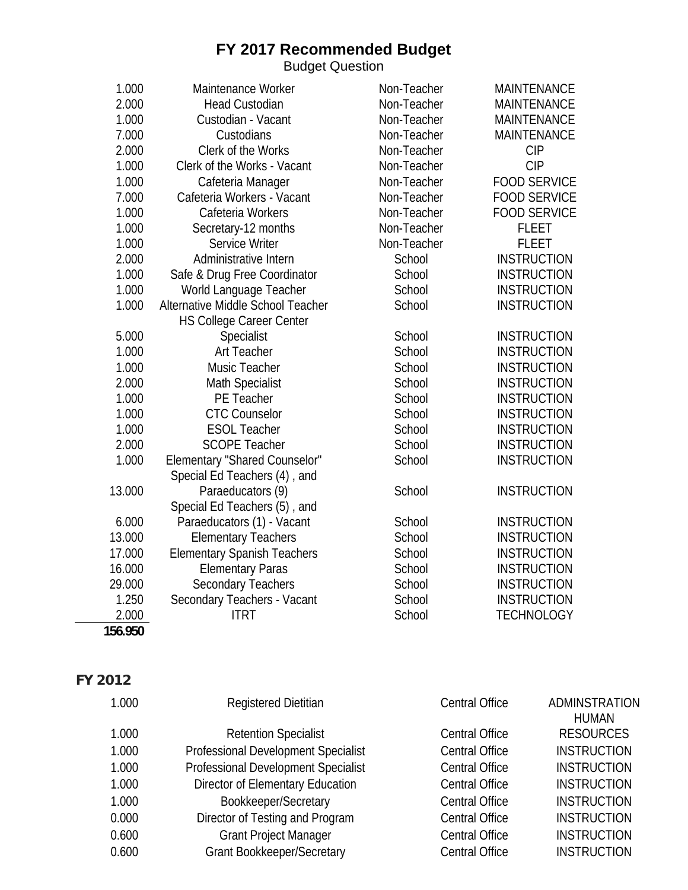Budget Question

| 1.000   | Maintenance Worker                 | Non-Teacher | <b>MAINTENANCE</b>  |
|---------|------------------------------------|-------------|---------------------|
| 2.000   | <b>Head Custodian</b>              | Non-Teacher | <b>MAINTENANCE</b>  |
| 1.000   | Custodian - Vacant                 | Non-Teacher | <b>MAINTENANCE</b>  |
| 7.000   | Custodians                         | Non-Teacher | <b>MAINTENANCE</b>  |
| 2.000   | Clerk of the Works                 | Non-Teacher | <b>CIP</b>          |
| 1.000   | Clerk of the Works - Vacant        | Non-Teacher | <b>CIP</b>          |
| 1.000   | Cafeteria Manager                  | Non-Teacher | <b>FOOD SERVICE</b> |
| 7.000   | Cafeteria Workers - Vacant         | Non-Teacher | <b>FOOD SERVICE</b> |
| 1.000   | Cafeteria Workers                  | Non-Teacher | <b>FOOD SERVICE</b> |
| 1.000   | Secretary-12 months                | Non-Teacher | <b>FLEET</b>        |
| 1.000   | Service Writer                     | Non-Teacher | <b>FLEET</b>        |
| 2.000   | Administrative Intern              | School      | <b>INSTRUCTION</b>  |
| 1.000   | Safe & Drug Free Coordinator       | School      | <b>INSTRUCTION</b>  |
| 1.000   | World Language Teacher             | School      | <b>INSTRUCTION</b>  |
| 1.000   | Alternative Middle School Teacher  | School      | <b>INSTRUCTION</b>  |
|         | <b>HS College Career Center</b>    |             |                     |
| 5.000   | Specialist                         | School      | <b>INSTRUCTION</b>  |
| 1.000   | <b>Art Teacher</b>                 | School      | <b>INSTRUCTION</b>  |
| 1.000   | Music Teacher                      | School      | <b>INSTRUCTION</b>  |
| 2.000   | <b>Math Specialist</b>             | School      | <b>INSTRUCTION</b>  |
| 1.000   | PE Teacher                         | School      | <b>INSTRUCTION</b>  |
| 1.000   | <b>CTC Counselor</b>               | School      | <b>INSTRUCTION</b>  |
| 1.000   | <b>ESOL Teacher</b>                | School      | <b>INSTRUCTION</b>  |
| 2.000   | <b>SCOPE Teacher</b>               | School      | <b>INSTRUCTION</b>  |
| 1.000   | Elementary "Shared Counselor"      | School      | <b>INSTRUCTION</b>  |
|         | Special Ed Teachers (4), and       |             |                     |
| 13.000  | Paraeducators (9)                  | School      | <b>INSTRUCTION</b>  |
|         | Special Ed Teachers (5), and       |             |                     |
| 6.000   | Paraeducators (1) - Vacant         | School      | <b>INSTRUCTION</b>  |
| 13.000  | <b>Elementary Teachers</b>         | School      | <b>INSTRUCTION</b>  |
| 17.000  | <b>Elementary Spanish Teachers</b> | School      | <b>INSTRUCTION</b>  |
| 16.000  | <b>Elementary Paras</b>            | School      | <b>INSTRUCTION</b>  |
| 29.000  | <b>Secondary Teachers</b>          | School      | <b>INSTRUCTION</b>  |
| 1.250   | Secondary Teachers - Vacant        | School      | <b>INSTRUCTION</b>  |
| 2.000   | <b>ITRT</b>                        | School      | <b>TECHNOLOGY</b>   |
| 156.950 |                                    |             |                     |

| 1.000 | <b>Registered Dietitian</b>         | <b>Central Office</b> | ADMINSTRATION      |
|-------|-------------------------------------|-----------------------|--------------------|
|       |                                     |                       | <b>HUMAN</b>       |
| 1.000 | <b>Retention Specialist</b>         | <b>Central Office</b> | <b>RESOURCES</b>   |
| 1.000 | Professional Development Specialist | <b>Central Office</b> | <b>INSTRUCTION</b> |
| 1.000 | Professional Development Specialist | <b>Central Office</b> | <b>INSTRUCTION</b> |
| 1.000 | Director of Elementary Education    | <b>Central Office</b> | <b>INSTRUCTION</b> |
| 1.000 | Bookkeeper/Secretary                | <b>Central Office</b> | <b>INSTRUCTION</b> |
| 0.000 | Director of Testing and Program     | <b>Central Office</b> | <b>INSTRUCTION</b> |
| 0.600 | <b>Grant Project Manager</b>        | <b>Central Office</b> | <b>INSTRUCTION</b> |
| 0.600 | <b>Grant Bookkeeper/Secretary</b>   | <b>Central Office</b> | <b>INSTRUCTION</b> |
|       |                                     |                       |                    |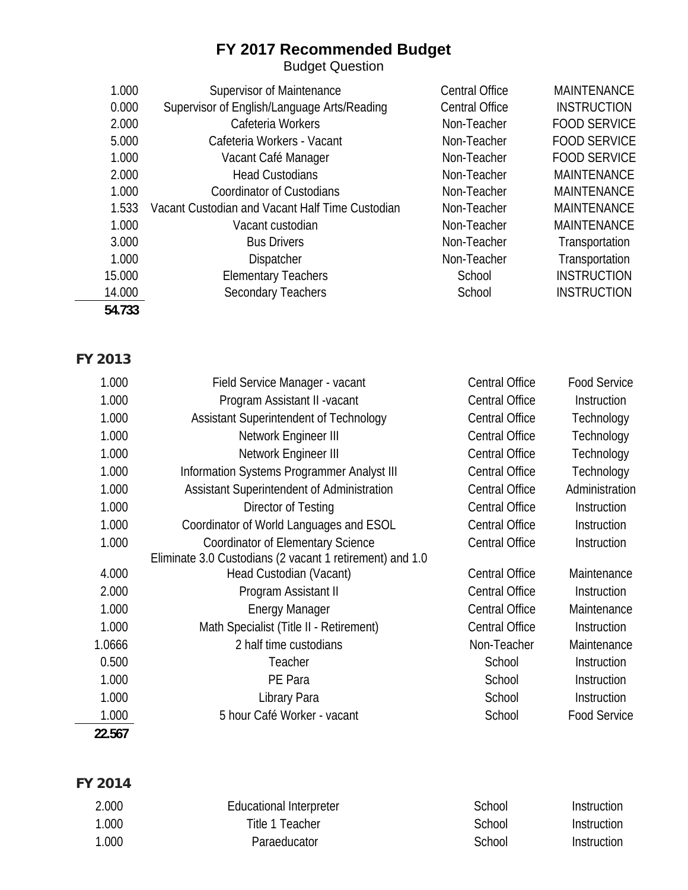Budget Question

| 1.000  | Supervisor of Maintenance                       | <b>Central Office</b> | <b>MAINTENANCE</b>  |
|--------|-------------------------------------------------|-----------------------|---------------------|
| 0.000  | Supervisor of English/Language Arts/Reading     | <b>Central Office</b> | <b>INSTRUCTION</b>  |
| 2.000  | Cafeteria Workers                               | Non-Teacher           | <b>FOOD SERVICE</b> |
| 5.000  | Cafeteria Workers - Vacant                      | Non-Teacher           | <b>FOOD SERVICE</b> |
| 1.000  | Vacant Café Manager                             | Non-Teacher           | <b>FOOD SERVICE</b> |
| 2.000  | <b>Head Custodians</b>                          | Non-Teacher           | <b>MAINTENANCE</b>  |
| 1.000  | <b>Coordinator of Custodians</b>                | Non-Teacher           | <b>MAINTENANCE</b>  |
| 1.533  | Vacant Custodian and Vacant Half Time Custodian | Non-Teacher           | <b>MAINTENANCE</b>  |
| 1.000  | Vacant custodian                                | Non-Teacher           | <b>MAINTENANCE</b>  |
| 3.000  | <b>Bus Drivers</b>                              | Non-Teacher           | Transportation      |
| 1.000  | <b>Dispatcher</b>                               | Non-Teacher           | Transportation      |
| 15.000 | <b>Elementary Teachers</b>                      | School                | <b>INSTRUCTION</b>  |
| 14.000 | <b>Secondary Teachers</b>                       | School                | <b>INSTRUCTION</b>  |
| 54.733 |                                                 |                       |                     |

#### **FY 2013**

| 1.000  | Field Service Manager - vacant                           | <b>Central Office</b> | <b>Food Service</b> |
|--------|----------------------------------------------------------|-----------------------|---------------------|
| 1.000  | Program Assistant II - vacant                            | <b>Central Office</b> | Instruction         |
| 1.000  | Assistant Superintendent of Technology                   | <b>Central Office</b> | Technology          |
| 1.000  | Network Engineer III                                     | <b>Central Office</b> | Technology          |
| 1.000  | Network Engineer III                                     | <b>Central Office</b> | Technology          |
| 1.000  | Information Systems Programmer Analyst III               | <b>Central Office</b> | Technology          |
| 1.000  | Assistant Superintendent of Administration               | <b>Central Office</b> | Administration      |
| 1.000  | Director of Testing                                      | <b>Central Office</b> | Instruction         |
| 1.000  | Coordinator of World Languages and ESOL                  | <b>Central Office</b> | Instruction         |
| 1.000  | <b>Coordinator of Elementary Science</b>                 | <b>Central Office</b> | Instruction         |
|        | Eliminate 3.0 Custodians (2 vacant 1 retirement) and 1.0 |                       |                     |
| 4.000  | Head Custodian (Vacant)                                  | <b>Central Office</b> | Maintenance         |
| 2.000  | Program Assistant II                                     | <b>Central Office</b> | Instruction         |
| 1.000  | <b>Energy Manager</b>                                    | <b>Central Office</b> | Maintenance         |
| 1.000  | Math Specialist (Title II - Retirement)                  | <b>Central Office</b> | Instruction         |
| 1.0666 | 2 half time custodians                                   | Non-Teacher           | Maintenance         |
| 0.500  | Teacher                                                  | School                | Instruction         |
| 1.000  | PE Para                                                  | School                | Instruction         |
| 1.000  | Library Para                                             | School                | Instruction         |
| 1.000  | 5 hour Café Worker - vacant                              | School                | <b>Food Service</b> |
| 22.567 |                                                          |                       |                     |

| 2.000 | Educational Interpreter | School | Instruction |
|-------|-------------------------|--------|-------------|
| 1.000 | Title 1 Teacher         | School | Instruction |
| 1.000 | <b>Paraeducator</b>     | School | Instruction |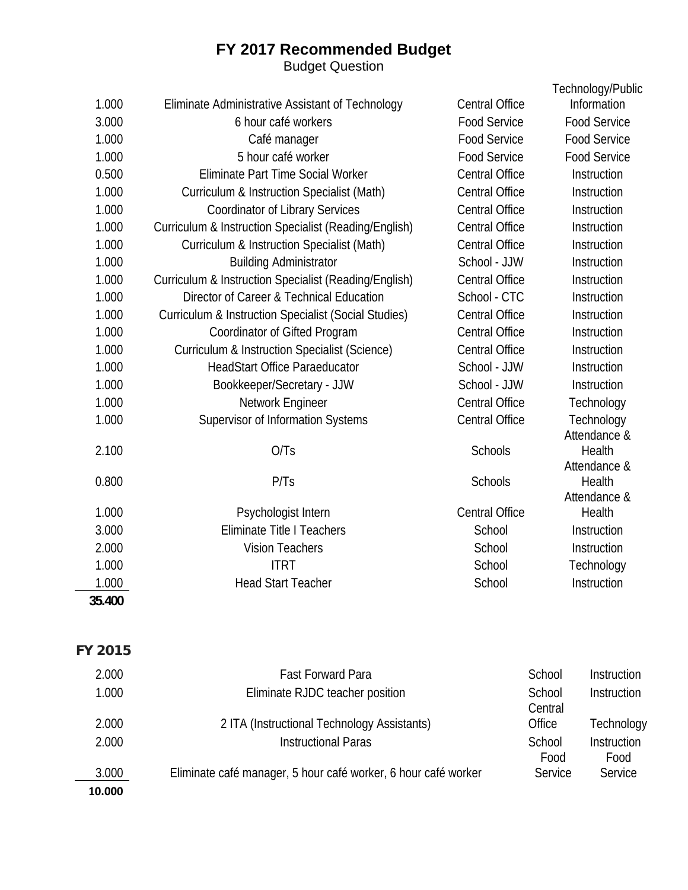#### **FY 2017 Recommended Budget**  Budget Question

|        |                                                                 |                       | Technology/Public          |
|--------|-----------------------------------------------------------------|-----------------------|----------------------------|
| 1.000  | Eliminate Administrative Assistant of Technology                | <b>Central Office</b> | Information                |
| 3.000  | 6 hour café workers                                             | <b>Food Service</b>   | <b>Food Service</b>        |
| 1.000  | Café manager                                                    | <b>Food Service</b>   | <b>Food Service</b>        |
| 1.000  | 5 hour café worker                                              | <b>Food Service</b>   | <b>Food Service</b>        |
| 0.500  | Eliminate Part Time Social Worker                               | <b>Central Office</b> | Instruction                |
| 1.000  | <b>Curriculum &amp; Instruction Specialist (Math)</b>           | <b>Central Office</b> | Instruction                |
| 1.000  | <b>Coordinator of Library Services</b>                          | <b>Central Office</b> | Instruction                |
| 1.000  | Curriculum & Instruction Specialist (Reading/English)           | <b>Central Office</b> | Instruction                |
| 1.000  | <b>Curriculum &amp; Instruction Specialist (Math)</b>           | <b>Central Office</b> | Instruction                |
| 1.000  | <b>Building Administrator</b>                                   | School - JJW          | Instruction                |
| 1.000  | Curriculum & Instruction Specialist (Reading/English)           | <b>Central Office</b> | Instruction                |
| 1.000  | Director of Career & Technical Education                        | School - CTC          | Instruction                |
| 1.000  | <b>Curriculum &amp; Instruction Specialist (Social Studies)</b> | <b>Central Office</b> | Instruction                |
| 1.000  | Coordinator of Gifted Program                                   | <b>Central Office</b> | Instruction                |
| 1.000  | <b>Curriculum &amp; Instruction Specialist (Science)</b>        | <b>Central Office</b> | Instruction                |
| 1.000  | <b>HeadStart Office Paraeducator</b>                            | School - JJW          | Instruction                |
| 1.000  | Bookkeeper/Secretary - JJW                                      | School - JJW          | Instruction                |
| 1.000  | Network Engineer                                                | <b>Central Office</b> | Technology                 |
| 1.000  | Supervisor of Information Systems                               | <b>Central Office</b> | Technology<br>Attendance & |
| 2.100  | O/Ts                                                            | Schools               | Health<br>Attendance &     |
| 0.800  | P/Ts                                                            | Schools               | Health                     |
| 1.000  | Psychologist Intern                                             | <b>Central Office</b> | Attendance &<br>Health     |
| 3.000  | <b>Eliminate Title I Teachers</b>                               | School                | Instruction                |
| 2.000  | <b>Vision Teachers</b>                                          | School                | Instruction                |
| 1.000  | <b>ITRT</b>                                                     | School                | Technology                 |
| 1.000  | <b>Head Start Teacher</b>                                       | School                | Instruction                |
| 35.400 |                                                                 |                       |                            |
|        |                                                                 |                       |                            |
|        |                                                                 |                       |                            |

| 2.000  | <b>Fast Forward Para</b>                                       | School  | Instruction |
|--------|----------------------------------------------------------------|---------|-------------|
| 1.000  | Eliminate RJDC teacher position                                | School  | Instruction |
|        |                                                                | Central |             |
| 2.000  | 2 ITA (Instructional Technology Assistants)                    | Office  | Technology  |
| 2.000  | <b>Instructional Paras</b>                                     | School  | Instruction |
|        |                                                                | Food    | Food        |
| 3.000  | Eliminate café manager, 5 hour café worker, 6 hour café worker | Service | Service     |
| 10.000 |                                                                |         |             |